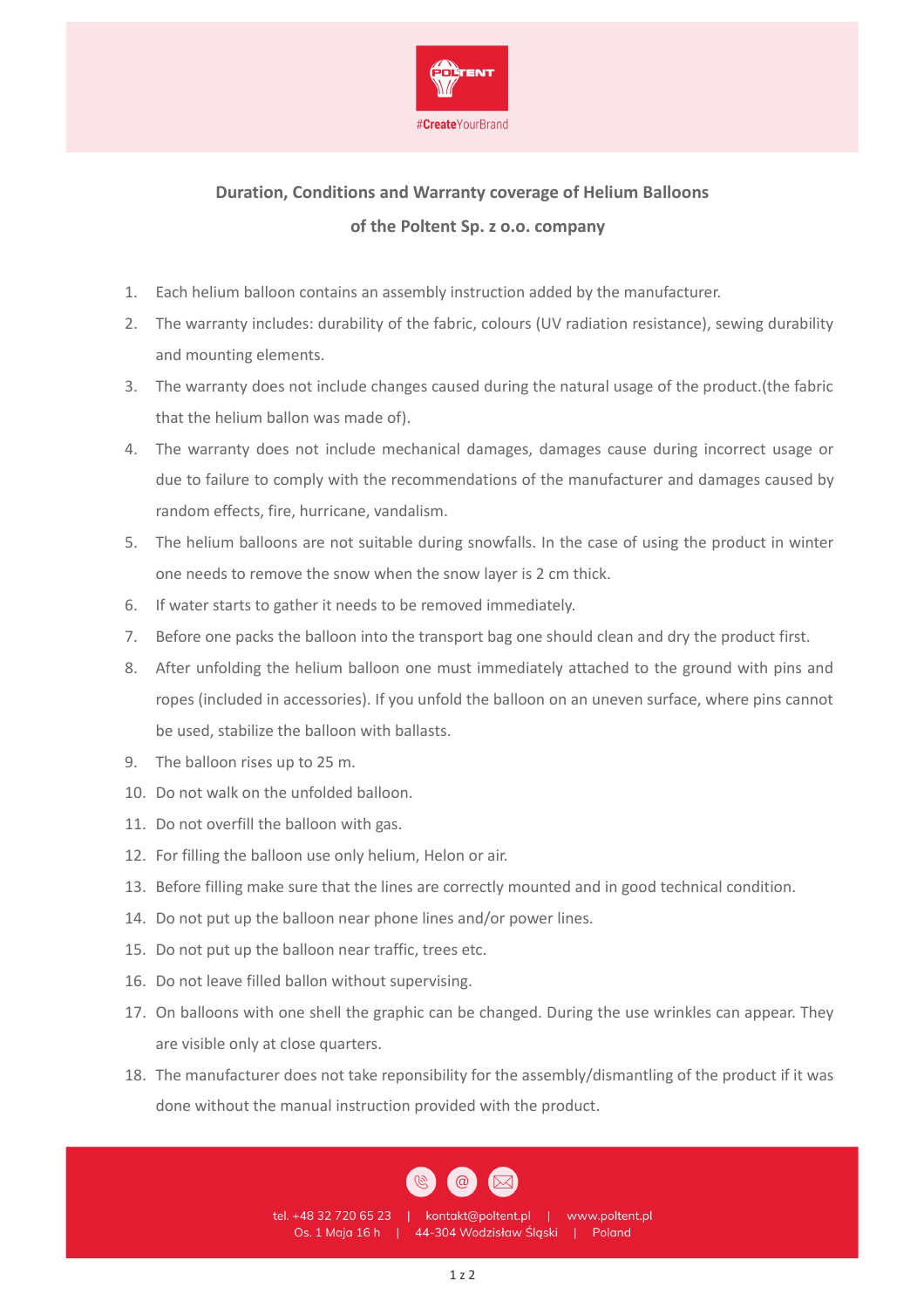

## **Duration, Conditions and Warranty coverage of Helium Balloons of the Poltent Sp. z o.o. company**

- 1. Each helium balloon contains an assembly instruction added by the manufacturer.
- 2. The warranty includes: durability of the fabric, colours (UV radiation resistance), sewing durability and mounting elements.
- 3. The warranty does not include changes caused during the natural usage of the product.(the fabric that the helium ballon was made of).
- 4. The warranty does not include mechanical damages, damages cause during incorrect usage or due to failure to comply with the recommendations of the manufacturer and damages caused by random effects, fire, hurricane, vandalism.
- 5. The helium balloons are not suitable during snowfalls. In the case of using the product in winter one needs to remove the snow when the snow layer is 2 cm thick.
- 6. If water starts to gather it needs to be removed immediately.
- 7. Before one packs the balloon into the transport bag one should clean and dry the product first.
- 8. After unfolding the helium balloon one must immediately attached to the ground with pins and ropes (included in accessories). If you unfold the balloon on an uneven surface, where pins cannot be used, stabilize the balloon with ballasts.
- 9. The balloon rises up to 25 m.
- 10. Do not walk on the unfolded balloon.
- 11. Do not overfill the balloon with gas.
- 12. For filling the balloon use only helium, Helon or air.
- 13. Before filling make sure that the lines are correctly mounted and in good technical condition.
- 14. Do not put up the balloon near phone lines and/or power lines.
- 15. Do not put up the balloon near traffic, trees etc.
- 16. Do not leave filled ballon without supervising.
- 17. On balloons with one shell the graphic can be changed. During the use wrinkles can appear. They are visible only at close quarters.
- 18. The manufacturer does not take reponsibility for the assembly/dismantling of the product if it was done without the manual instruction provided with the product.